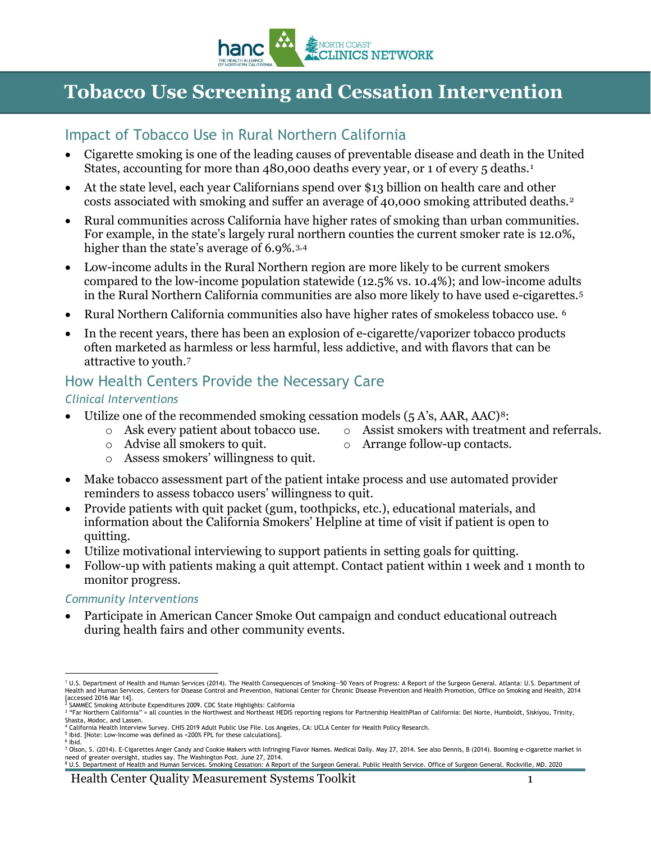

# **Tobacco Use Screening and Cessation Intervention**

### Impact of Tobacco Use in Rural Northern California

- Cigarette smoking is one of the leading causes of preventable disease and death in the United States, accounting for more than 480,000 deaths every year, or [1](#page-0-0) of every 5 deaths.<sup>1</sup>
- At the state level, each year Californians spend over \$13 billion on health care and other costs associated with smoking and suffer an average of 40,000 smoking attributed deaths.[2](#page-0-1)
- Rural communities across California have higher rates of smoking than urban communities. For example, in the state's largely rural northern counties the current smoker rate is 12.0%, higher than the state's average of 6.9%.<sup>[3](#page-0-2),[4](#page-0-3)</sup>
- Low-income adults in the Rural Northern region are more likely to be current smokers compared to the low-income population statewide (12.5% vs. 10.4%); and low-income adults in the Rural Northern California communities are also more likely to have used e-cigarettes.[5](#page-0-4)
- Rural Northern California communities also have higher rates of smokeless tobacco use. <sup>[6](#page-0-5)</sup>
- In the recent years, there has been an explosion of e-cigarette/vaporizer tobacco products often marketed as harmless or less harmful, less addictive, and with flavors that can be attractive to youth.[7](#page-0-6)

## How Health Centers Provide the Necessary Care

#### *Clinical Interventions*

- Utilize one of the recommended smoking cessation models  $(5 A's, AAR, AAC)<sup>8</sup>$  $(5 A's, AAR, AAC)<sup>8</sup>$  $(5 A's, AAR, AAC)<sup>8</sup>$ :
	- o Ask every patient about tobacco use.
- $\circ$  Assist smokers with treatment and referrals.<br> $\circ$  Arrange follow-up contacts.
- o Advise all smokers to quit.
- Arrange follow-up contacts.
- o Assess smokers' willingness to quit.
- Make tobacco assessment part of the patient intake process and use automated provider reminders to assess tobacco users' willingness to quit.
- Provide patients with quit packet (gum, toothpicks, etc.), educational materials, and information about the California Smokers' Helpline at time of visit if patient is open to quitting.
- Utilize motivational interviewing to support patients in setting goals for quitting.
- Follow-up with patients making a quit attempt. Contact patient within 1 week and 1 month to monitor progress.

#### *Community Interventions*

• Participate in American Cancer Smoke Out campaign and conduct educational outreach during health fairs and other community events.

<span id="page-0-2"></span>

<span id="page-0-7"></span>need of greater oversight, studies say. The Washington Post. June 27, 2014.<br><sup>8</sup> U.S. Department of Health and Human Services. Smoking Cessation: A Report of the Surgeon General. Public Health Service. Office of Surgeon Gen

<span id="page-0-0"></span><sup>.&</sup>lt;br>U.S. Department of Health and Human Services (2014). The Health Consequences of Smoking–50 Years of Progress: A Report of the Surgeon General. Atlanta: U.S. Department of '<br>Health and Human Services, Centers for Disease

<span id="page-0-1"></span><sup>[</sup>accessed 2016 Mar 14].<br>\* SAMMEC Smoking Attribute Expenditures 2009. CDC State Highlights: California<br><sup>3</sup> "Far Northern California" = all counties in the Northwest and Northeast HEDIS reporting regions for Partnership Hea

<span id="page-0-3"></span>Shasta, Modoc, and Lassen. <sup>4</sup> California Health Interview Survey. CHIS 2019 Adult Public Use File. Los Angeles, CA: UCLA Center for Health Policy Research.

<span id="page-0-4"></span><sup>&</sup>lt;sup>5</sup> Ibid. [Note: Low-Income was defined as <200% FPL for these calculations].

<span id="page-0-6"></span><span id="page-0-5"></span><sup>6</sup> Ibid. <sup>7</sup> Olson, S. (2014). E-Cigarettes Anger Candy and Cookie Makers with Infringing Flavor Names. Medical Daily. May 27, 2014. See also Dennis, B (2014). Booming e-cigarette market in